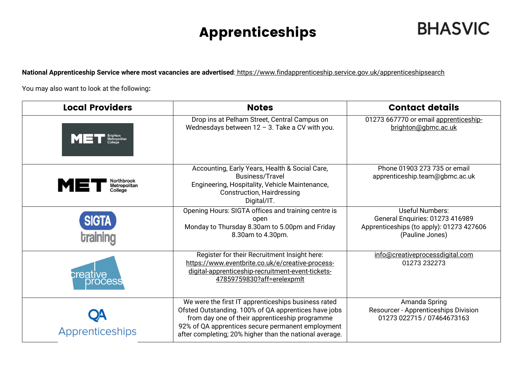## Apprenticeships

**National Apprenticeship Service where most vacancies are advertised**: <https://www.findapprenticeship.service.gov.uk/apprenticeshipsearch>

You may also want to look at the following**:**

| <b>Local Providers</b>                       | <b>Notes</b>                                                                                                                                                                                                                                                                  | <b>Contact details</b>                                                                                            |
|----------------------------------------------|-------------------------------------------------------------------------------------------------------------------------------------------------------------------------------------------------------------------------------------------------------------------------------|-------------------------------------------------------------------------------------------------------------------|
| MET<br>Metropolitan                          | Drop ins at Pelham Street, Central Campus on<br>Wednesdays between $12 - 3$ . Take a CV with you.                                                                                                                                                                             | 01273 667770 or email apprenticeship-<br>brighton@gbmc.ac.uk                                                      |
| Northbrook<br>MET<br>Metropolitan<br>College | Accounting, Early Years, Health & Social Care,<br>Business/Travel<br>Engineering, Hospitality, Vehicle Maintenance,<br><b>Construction, Hairdressing</b><br>Digital/IT.                                                                                                       | Phone 01903 273 735 or email<br>apprenticeship.team@gbmc.ac.uk                                                    |
| <b>SIGTA</b>                                 | Opening Hours: SIGTA offices and training centre is<br>open<br>Monday to Thursday 8.30am to 5.00pm and Friday<br>8.30am to 4.30pm.                                                                                                                                            | Useful Numbers:<br>General Enquiries: 01273 416989<br>Apprenticeships (to apply): 01273 427606<br>(Pauline Jones) |
| creative<br><b>OCESS</b>                     | Register for their Recruitment Insight here:<br>https://www.eventbrite.co.uk/e/creative-process-<br>digital-apprenticeship-recruitment-event-tickets-<br>47859759830?aff=erelexpmlt                                                                                           | info@creativeprocessdigital.com<br>01273 232273                                                                   |
| Apprenticeships                              | We were the first IT apprenticeships business rated<br>Ofsted Outstanding. 100% of QA apprentices have jobs<br>from day one of their apprenticeship programme<br>92% of QA apprentices secure permanent employment<br>after completing; 20% higher than the national average. | Amanda Spring<br>Resourcer - Apprenticeships Division<br>01273 022715 / 07464673163                               |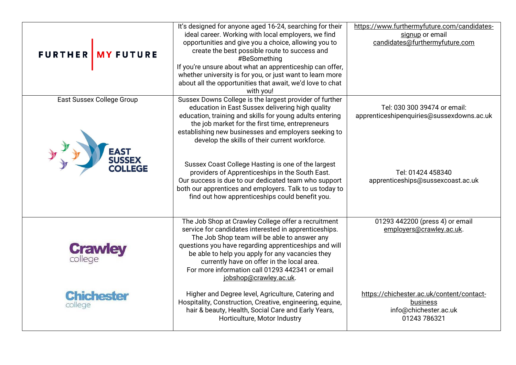| FURTHER MY FUTURE                                          | It's designed for anyone aged 16-24, searching for their<br>ideal career. Working with local employers, we find<br>opportunities and give you a choice, allowing you to<br>create the best possible route to success and<br>#BeSomething<br>If you're unsure about what an apprenticeship can offer,<br>whether university is for you, or just want to learn more<br>about all the opportunities that await, we'd love to chat<br>with you!                                                                                                                                                                          | https://www.furthermyfuture.com/candidates-<br>signup or email<br>candidates@furthermyfuture.com                                    |
|------------------------------------------------------------|----------------------------------------------------------------------------------------------------------------------------------------------------------------------------------------------------------------------------------------------------------------------------------------------------------------------------------------------------------------------------------------------------------------------------------------------------------------------------------------------------------------------------------------------------------------------------------------------------------------------|-------------------------------------------------------------------------------------------------------------------------------------|
| <b>East Sussex College Group</b><br><b>EAST<br/>SUSSEX</b> | Sussex Downs College is the largest provider of further<br>education in East Sussex delivering high quality<br>education, training and skills for young adults entering<br>the job market for the first time, entrepreneurs<br>establishing new businesses and employers seeking to<br>develop the skills of their current workforce.<br>Sussex Coast College Hasting is one of the largest<br>providers of Apprenticeships in the South East.<br>Our success is due to our dedicated team who support<br>both our apprentices and employers. Talk to us today to<br>find out how apprenticeships could benefit you. | Tel: 030 300 39474 or email:<br>apprenticeshipenquiries@sussexdowns.ac.uk<br>Tel: 01424 458340<br>apprenticeships@sussexcoast.ac.uk |
| <b>Crawley</b>                                             | The Job Shop at Crawley College offer a recruitment<br>service for candidates interested in apprenticeships.<br>The Job Shop team will be able to answer any<br>questions you have regarding apprenticeships and will<br>be able to help you apply for any vacancies they<br>currently have on offer in the local area.<br>For more information call 01293 442341 or email<br>jobshop@crawley.ac.uk.                                                                                                                                                                                                                 | 01293 442200 (press 4) or email<br>employers@crawley.ac.uk.                                                                         |
| <b>Chichester</b><br>college                               | Higher and Degree level, Agriculture, Catering and<br>Hospitality, Construction, Creative, engineering, equine,<br>hair & beauty, Health, Social Care and Early Years,<br>Horticulture, Motor Industry                                                                                                                                                                                                                                                                                                                                                                                                               | https://chichester.ac.uk/content/contact-<br><b>business</b><br>info@chichester.ac.uk<br>01243 786321                               |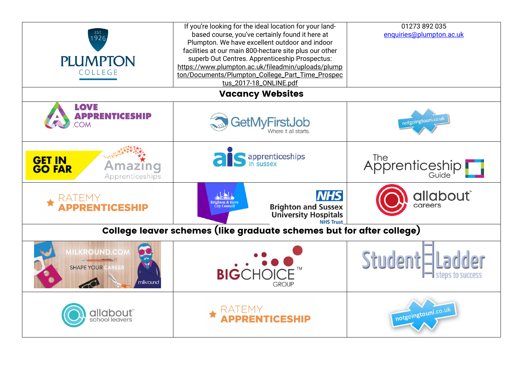